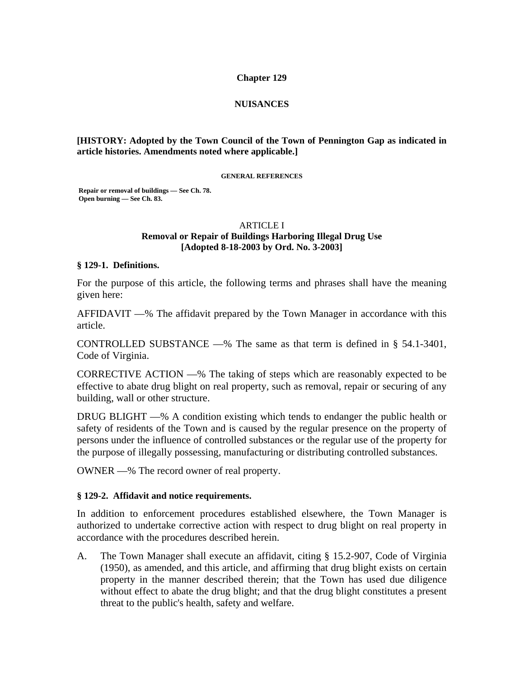### **Chapter 129**

## **NUISANCES**

## **[HISTORY: Adopted by the Town Council of the Town of Pennington Gap as indicated in article histories. Amendments noted where applicable.]**

#### **GENERAL REFERENCES**

 **Repair or removal of buildings — See Ch. 78. Open burning — See Ch. 83.** 

#### ARTICLE I

## **Removal or Repair of Buildings Harboring Illegal Drug Use [Adopted 8-18-2003 by Ord. No. 3-2003]**

#### **§ 129-1. Definitions.**

For the purpose of this article, the following terms and phrases shall have the meaning given here:

AFFIDAVIT —% The affidavit prepared by the Town Manager in accordance with this article.

CONTROLLED SUBSTANCE —% The same as that term is defined in  $\S$  54.1-3401, Code of Virginia.

CORRECTIVE ACTION —% The taking of steps which are reasonably expected to be effective to abate drug blight on real property, such as removal, repair or securing of any building, wall or other structure.

DRUG BLIGHT —% A condition existing which tends to endanger the public health or safety of residents of the Town and is caused by the regular presence on the property of persons under the influence of controlled substances or the regular use of the property for the purpose of illegally possessing, manufacturing or distributing controlled substances.

OWNER —% The record owner of real property.

### **§ 129-2. Affidavit and notice requirements.**

In addition to enforcement procedures established elsewhere, the Town Manager is authorized to undertake corrective action with respect to drug blight on real property in accordance with the procedures described herein.

A. The Town Manager shall execute an affidavit, citing § 15.2-907, Code of Virginia (1950), as amended, and this article, and affirming that drug blight exists on certain property in the manner described therein; that the Town has used due diligence without effect to abate the drug blight; and that the drug blight constitutes a present threat to the public's health, safety and welfare.